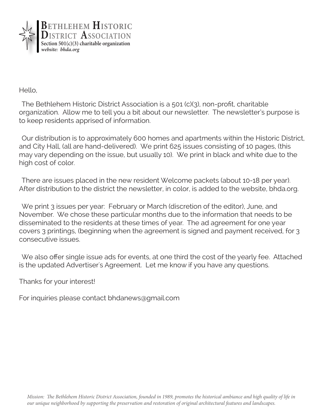

Hello,

The Bethlehem Historic District Association is a 501 (c)(3), non-profit, charitable organization. Allow me to tell you a bit about our newsletter. The newsletter's purpose is to keep residents apprised of information.

Our distribution is to approximately 600 homes and apartments within the Historic District, and City Hall, (all are hand-delivered). We print 625 issues consisting of 10 pages, (this may vary depending on the issue, but usually 10). We print in black and white due to the high cost of color.

There are issues placed in the new resident Welcome packets (about 10-18 per year). After distribution to the district the newsletter, in color, is added to the website, bhda.org.

We print 3 issues per year: February or March (discretion of the editor), June, and November. We chose these particular months due to the information that needs to be disseminated to the residents at these times of year. The ad agreement for one year covers 3 printings, (beginning when the agreement is signed and payment received, for 3 consecutive issues.

We also offer single issue ads for events, at one third the cost of the yearly fee. Attached is the updated Advertiser's Agreement. Let me know if you have any questions.

Thanks for your interest!

For inquiries please contact bhdanews@gmail.com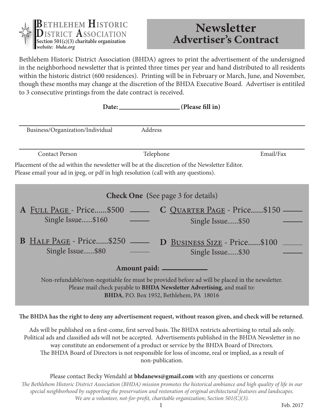

## **Newsletter Advertiser's Contract**

Bethlehem Historic District Association (BHDA) agrees to print the advertisement of the undersigned in the neighborhood newsletter that is printed three times per year and hand distributed to all residents within the historic district (600 residences). Printing will be in February or March, June, and November, though these months may change at the discretion of the BHDA Executive Board. Advertiser is entitiled to 3 consecutive printings from the date contract is received.

|                                                                                                                                                                                                                                                   |                                                                            | Date: (Please fill in) |                                                                      |
|---------------------------------------------------------------------------------------------------------------------------------------------------------------------------------------------------------------------------------------------------|----------------------------------------------------------------------------|------------------------|----------------------------------------------------------------------|
|                                                                                                                                                                                                                                                   | Business/Organization/Individual                                           | Address                |                                                                      |
|                                                                                                                                                                                                                                                   | <b>Contact Person</b>                                                      | Telephone              | Email/Fax                                                            |
| Placement of the ad within the newsletter will be at the discretion of the Newsletter Editor.<br>Please email your ad in jpeg, or pdf in high resolution (call with any questions).                                                               |                                                                            |                        |                                                                      |
| <b>Check One</b> (See page 3 for details)                                                                                                                                                                                                         |                                                                            |                        |                                                                      |
|                                                                                                                                                                                                                                                   | Single Issue\$160<br><b>B</b> HALF PAGE - Price\$250 —<br>Single Issue\$80 |                        | Single Issue\$50<br>D BUSINESS SIZE - Price\$100<br>Single Issue\$30 |
| Amount paid: ____________<br>Non-refundable/non-negotiable fee must be provided before ad will be placed in the newsletter.<br>Please mail check payable to BHDA Newsletter Advertising, and mail to:<br>BHDA, P.O. Box 1952, Bethlehem, PA 18016 |                                                                            |                        |                                                                      |

**The BHDA has the right to deny any advertisement request, without reason given, and check will be returned.**

Ads will be published on a first-come, first served basis. The BHDA restricts advertising to retail ads only. Political ads and classified ads will not be accepted. Advertisements published in the BHDA Newsletter in no way constitute an endorsement of a product or service by the BHDA Board of Directors. The BHDA Board of Directors is not responsible for loss of income, real or implied, as a result of non-publication.

*The Bethlehem Historic District Association (BHDA) mission promotes the historical ambiance and high quality of life in our special neighborhood by supporting the preservation and restoration of original architectural features and landscapes. We are a volunteer, not-for-profit, charitable organization; Section 501(C)(3).* Please contact Becky Wendahl at **bhdanews@gmail.com** with any questions or concerns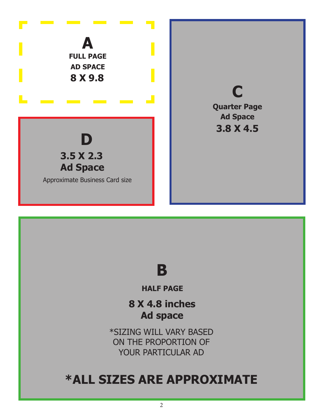



**HALF PAGE**

**8 X 4.8 inches Ad space**

\*SIZING WILL VARY BASED ON THE PROPORTION OF YOUR PARTICULAR AD

## **\*ALL SIZES ARE APPROXIMATE**